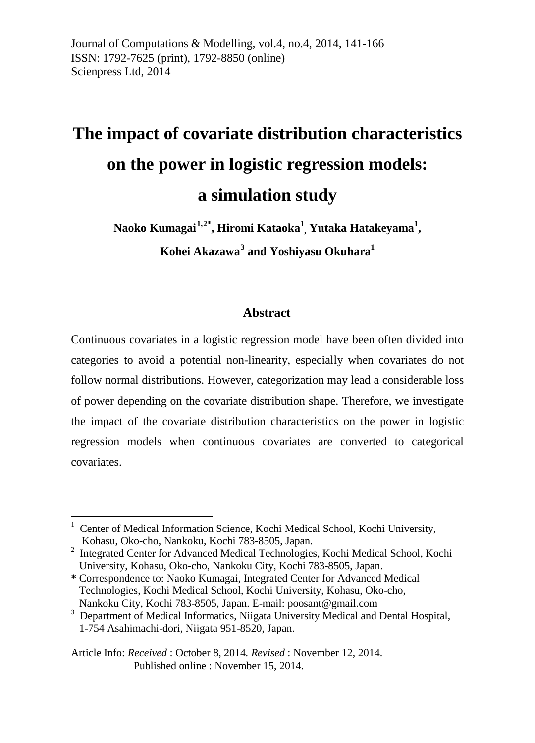Journal of Computations & Modelling*,* vol.4, no.4, 2014, 141-166 ISSN: 1792-7625 (print), 1792-8850 (online) Scienpress Ltd, 2014

# **The impact of covariate distribution characteristics on the power in logistic regression models: a simulation study**

**Naoko Kumagai[1](#page-11-0),[2](#page-0-0)\* , Hiromi Kataoka1 , Yutaka Hatakeyama1 , Kohei Akazawa[3](#page-0-1) and Yoshiyasu Okuhara1**

### **Abstract**

Continuous covariates in a logistic regression model have been often divided into categories to avoid a potential non-linearity, especially when covariates do not follow normal distributions. However, categorization may lead a considerable loss of power depending on the covariate distribution shape. Therefore, we investigate the impact of the covariate distribution characteristics on the power in logistic regression models when continuous covariates are converted to categorical covariates.

Article Info: *Received* : October 8, 2014*. Revised* : November 12, 2014. Published online : November 15, 2014.

**.** 

<sup>1</sup> Center of Medical Information Science, Kochi Medical School, Kochi University,

<span id="page-0-0"></span>Kohasu, Oko-cho, Nankoku, Kochi 783-8505, Japan.<br><sup>2</sup> Integrated Center for Advanced Medical Technologies, Kochi Medical School, Kochi University, Kohasu, Oko-cho, Nankoku City, Kochi 783-8505, Japan.

**<sup>\*</sup>** Correspondence to: Naoko Kumagai, Integrated Center for Advanced Medical Technologies, Kochi Medical School, Kochi University, Kohasu, Oko-cho, Nankoku City, Kochi 783-8505, Japan. E-mail: poosant@gmail.com

<span id="page-0-1"></span><sup>&</sup>lt;sup>3</sup> Department of Medical Informatics, Niigata University Medical and Dental Hospital, 1-754 Asahimachi-dori, Niigata 951-8520, Japan.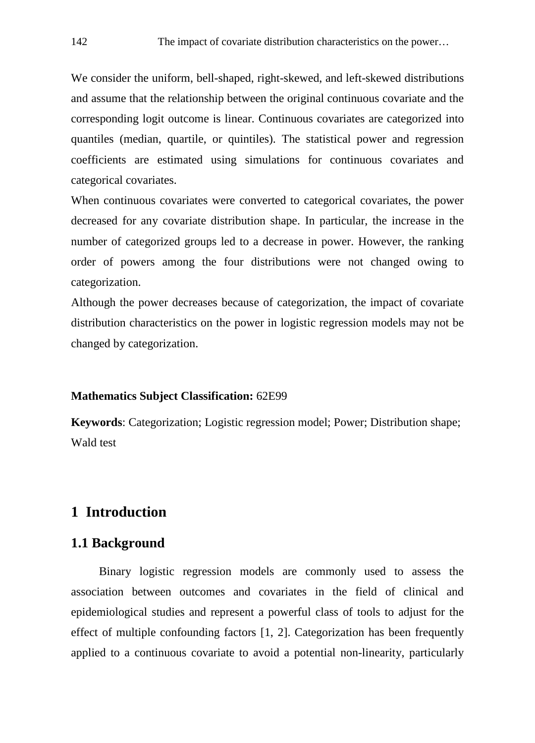We consider the uniform, bell-shaped, right-skewed, and left-skewed distributions and assume that the relationship between the original continuous covariate and the corresponding logit outcome is linear. Continuous covariates are categorized into quantiles (median, quartile, or quintiles). The statistical power and regression coefficients are estimated using simulations for continuous covariates and categorical covariates.

When continuous covariates were converted to categorical covariates, the power decreased for any covariate distribution shape. In particular, the increase in the number of categorized groups led to a decrease in power. However, the ranking order of powers among the four distributions were not changed owing to categorization.

Although the power decreases because of categorization, the impact of covariate distribution characteristics on the power in logistic regression models may not be changed by categorization.

#### **Mathematics Subject Classification:** 62E99

**Keywords**: Categorization; Logistic regression model; Power; Distribution shape; Wald test

# **1 Introduction**

## **1.1 Background**

Binary logistic regression models are commonly used to assess the association between outcomes and covariates in the field of clinical and epidemiological studies and represent a powerful class of tools to adjust for the effect of multiple confounding factors [1, 2]. Categorization has been frequently applied to a continuous covariate to avoid a potential non-linearity, particularly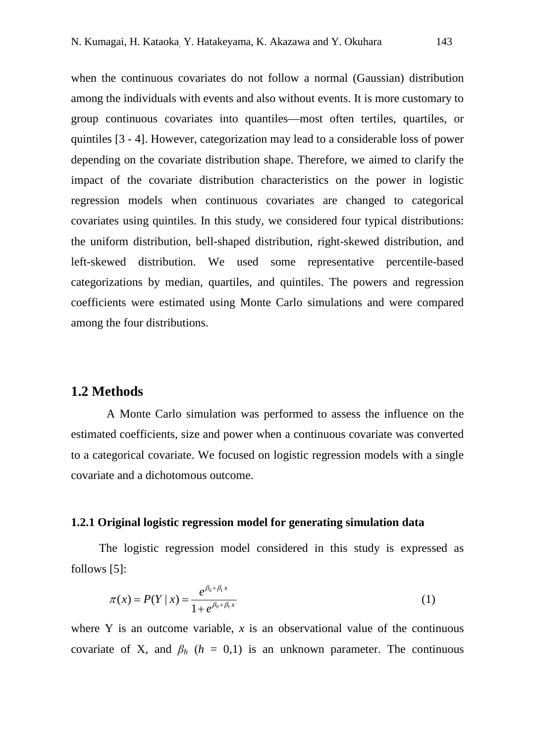when the continuous covariates do not follow a normal (Gaussian) distribution among the individuals with events and also without events. It is more customary to group continuous covariates into quantiles—most often tertiles, quartiles, or quintiles [3 - 4]. However, categorization may lead to a considerable loss of power depending on the covariate distribution shape. Therefore, we aimed to clarify the impact of the covariate distribution characteristics on the power in logistic regression models when continuous covariates are changed to categorical covariates using quintiles. In this study, we considered four typical distributions: the uniform distribution, bell-shaped distribution, right-skewed distribution, and left-skewed distribution. We used some representative percentile-based categorizations by median, quartiles, and quintiles. The powers and regression coefficients were estimated using Monte Carlo simulations and were compared among the four distributions.

#### **1.2 Methods**

A Monte Carlo simulation was performed to assess the influence on the estimated coefficients, size and power when a continuous covariate was converted to a categorical covariate. We focused on logistic regression models with a single covariate and a dichotomous outcome.

#### **1.2.1 Original logistic regression model for generating simulation data**

The logistic regression model considered in this study is expressed as follows [5]:

$$
\pi(x) = P(Y \mid x) = \frac{e^{\beta_0 + \beta_1 x}}{1 + e^{\beta_0 + \beta_1 x}}
$$
(1)

where Y is an outcome variable,  $x$  is an observational value of the continuous covariate of X, and  $\beta_h$  ( $h = 0,1$ ) is an unknown parameter. The continuous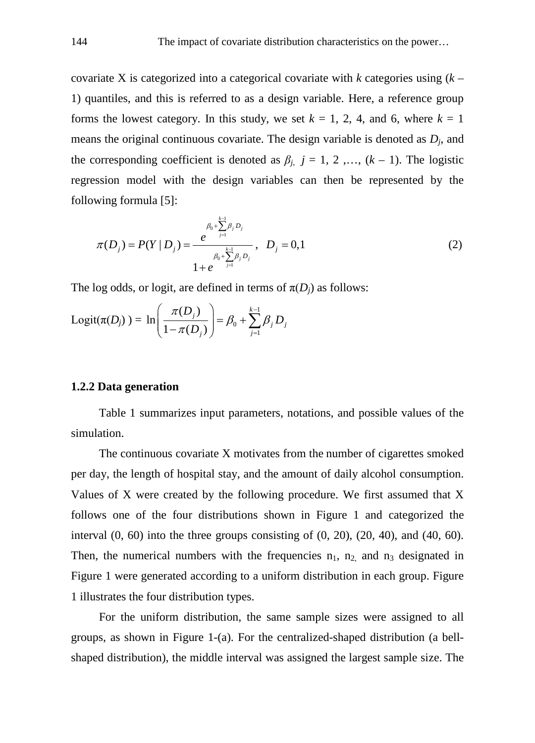covariate X is categorized into a categorical covariate with *k* categories using (*k* – 1) quantiles, and this is referred to as a design variable. Here, a reference group forms the lowest category. In this study, we set  $k = 1, 2, 4$ , and 6, where  $k = 1$ means the original continuous covariate. The design variable is denoted as *Dj*, and the corresponding coefficient is denoted as  $\beta_j$ ,  $j = 1, 2, ..., (k - 1)$ . The logistic regression model with the design variables can then be represented by the following formula [5]:

$$
\pi(D_j) = P(Y | D_j) = \frac{e^{\beta_0 + \sum_{j=1}^{k-1} \beta_j D_j}}{\beta_0 + \sum_{j=1}^{k-1} \beta_j D_j}, \quad D_j = 0, 1
$$
\n(2)

The log odds, or logit, are defined in terms of  $\pi(D_i)$  as follows:

Logit
$$
(\pi(D_j))
$$
 = ln $\left(\frac{\pi(D_j)}{1-\pi(D_j)}\right)$  =  $\beta_0 + \sum_{j=1}^{k-1} \beta_j D_j$ 

#### **1.2.2 Data generation**

Table 1 summarizes input parameters, notations, and possible values of the simulation.

The continuous covariate X motivates from the number of cigarettes smoked per day, the length of hospital stay, and the amount of daily alcohol consumption. Values of X were created by the following procedure. We first assumed that X follows one of the four distributions shown in Figure 1 and categorized the interval  $(0, 60)$  into the three groups consisting of  $(0, 20)$ ,  $(20, 40)$ , and  $(40, 60)$ . Then, the numerical numbers with the frequencies  $n_1$ ,  $n_2$  and  $n_3$  designated in Figure 1 were generated according to a uniform distribution in each group. Figure 1 illustrates the four distribution types.

For the uniform distribution, the same sample sizes were assigned to all groups, as shown in Figure 1-(a). For the centralized-shaped distribution (a bellshaped distribution), the middle interval was assigned the largest sample size. The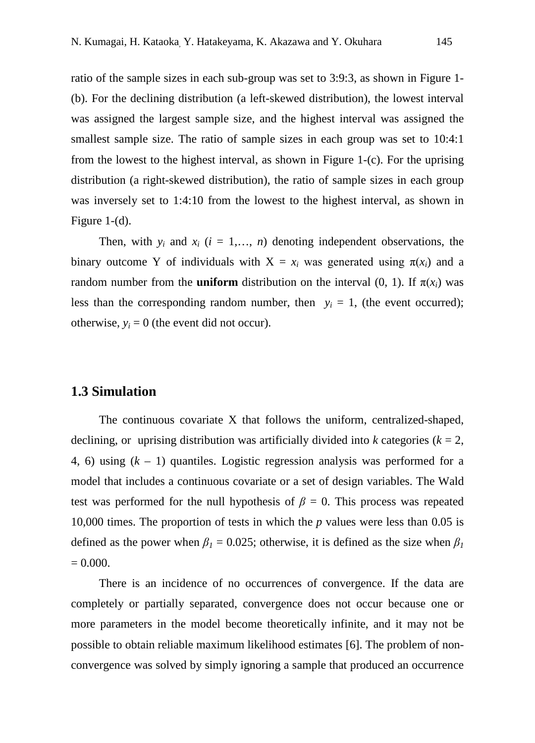ratio of the sample sizes in each sub-group was set to 3:9:3, as shown in Figure 1- (b). For the declining distribution (a left-skewed distribution), the lowest interval was assigned the largest sample size, and the highest interval was assigned the smallest sample size. The ratio of sample sizes in each group was set to 10:4:1 from the lowest to the highest interval, as shown in Figure 1-(c). For the uprising distribution (a right-skewed distribution), the ratio of sample sizes in each group was inversely set to 1:4:10 from the lowest to the highest interval, as shown in Figure 1-(d).

Then, with  $y_i$  and  $x_i$  ( $i = 1,..., n$ ) denoting independent observations, the binary outcome Y of individuals with  $X = x_i$  was generated using  $\pi(x_i)$  and a random number from the **uniform** distribution on the interval (0, 1). If π(*xi*) was less than the corresponding random number, then  $y_i = 1$ , (the event occurred); otherwise,  $y_i = 0$  (the event did not occur).

## **1.3 Simulation**

The continuous covariate X that follows the uniform, centralized-shaped, declining, or uprising distribution was artificially divided into *k* categories ( $k = 2$ , 4, 6) using  $(k - 1)$  quantiles. Logistic regression analysis was performed for a model that includes a continuous covariate or a set of design variables. The Wald test was performed for the null hypothesis of  $\beta = 0$ . This process was repeated 10,000 times. The proportion of tests in which the *p* values were less than 0.05 is defined as the power when  $\beta_1 = 0.025$ ; otherwise, it is defined as the size when  $\beta_1$  $= 0.000$ .

There is an incidence of no occurrences of convergence. If the data are completely or partially separated, convergence does not occur because one or more parameters in the model become theoretically infinite, and it may not be possible to obtain reliable maximum likelihood estimates [6]. The problem of nonconvergence was solved by simply ignoring a sample that produced an occurrence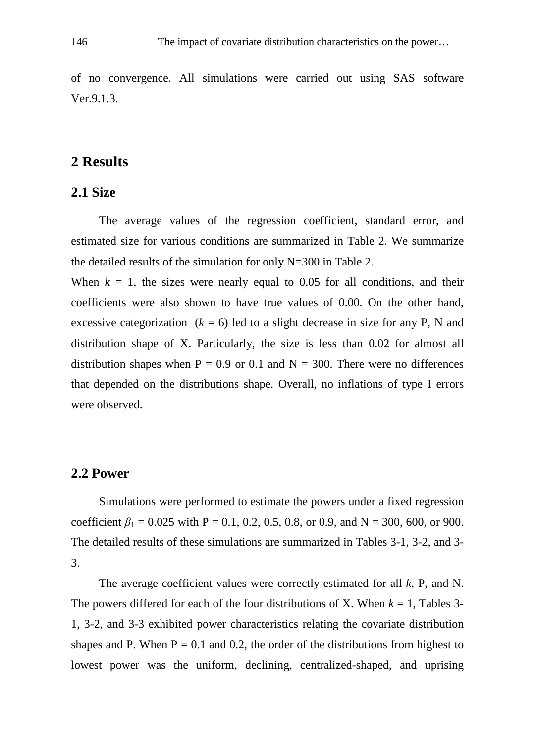of no convergence. All simulations were carried out using SAS software Ver.9.1.3.

# **2 Results**

## **2.1 Size**

The average values of the regression coefficient, standard error, and estimated size for various conditions are summarized in Table 2. We summarize the detailed results of the simulation for only N=300 in Table 2.

When  $k = 1$ , the sizes were nearly equal to 0.05 for all conditions, and their coefficients were also shown to have true values of 0.00. On the other hand, excessive categorization  $(k = 6)$  led to a slight decrease in size for any P, N and distribution shape of X. Particularly, the size is less than 0.02 for almost all distribution shapes when  $P = 0.9$  or 0.1 and  $N = 300$ . There were no differences that depended on the distributions shape. Overall, no inflations of type I errors were observed.

#### **2.2 Power**

Simulations were performed to estimate the powers under a fixed regression coefficient  $\beta_1 = 0.025$  with P = 0.1, 0.2, 0.5, 0.8, or 0.9, and N = 300, 600, or 900. The detailed results of these simulations are summarized in Tables 3-1, 3-2, and 3- 3.

The average coefficient values were correctly estimated for all *k,* P, and N. The powers differed for each of the four distributions of X. When  $k = 1$ , Tables 3-1, 3-2, and 3-3 exhibited power characteristics relating the covariate distribution shapes and P. When  $P = 0.1$  and 0.2, the order of the distributions from highest to lowest power was the uniform, declining, centralized-shaped, and uprising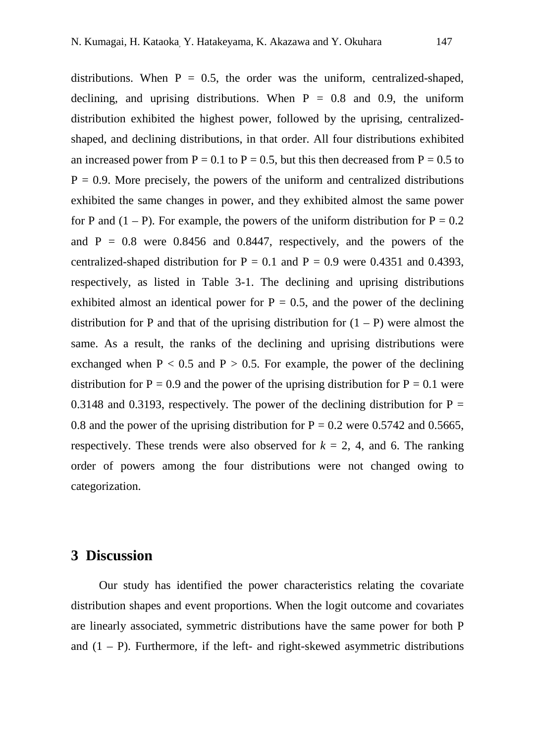distributions. When  $P = 0.5$ , the order was the uniform, centralized-shaped, declining, and uprising distributions. When  $P = 0.8$  and 0.9, the uniform distribution exhibited the highest power, followed by the uprising, centralizedshaped, and declining distributions, in that order. All four distributions exhibited an increased power from  $P = 0.1$  to  $P = 0.5$ , but this then decreased from  $P = 0.5$  to  $P = 0.9$ . More precisely, the powers of the uniform and centralized distributions exhibited the same changes in power, and they exhibited almost the same power for P and  $(1 - P)$ . For example, the powers of the uniform distribution for  $P = 0.2$ and  $P = 0.8$  were 0.8456 and 0.8447, respectively, and the powers of the centralized-shaped distribution for  $P = 0.1$  and  $P = 0.9$  were 0.4351 and 0.4393, respectively, as listed in Table 3-1. The declining and uprising distributions exhibited almost an identical power for  $P = 0.5$ , and the power of the declining distribution for P and that of the uprising distribution for  $(1 - P)$  were almost the same. As a result, the ranks of the declining and uprising distributions were exchanged when  $P < 0.5$  and  $P > 0.5$ . For example, the power of the declining distribution for  $P = 0.9$  and the power of the uprising distribution for  $P = 0.1$  were 0.3148 and 0.3193, respectively. The power of the declining distribution for  $P =$ 0.8 and the power of the uprising distribution for  $P = 0.2$  were 0.5742 and 0.5665, respectively. These trends were also observed for  $k = 2$ , 4, and 6. The ranking order of powers among the four distributions were not changed owing to categorization.

## **3 Discussion**

Our study has identified the power characteristics relating the covariate distribution shapes and event proportions. When the logit outcome and covariates are linearly associated, symmetric distributions have the same power for both P and  $(1 - P)$ . Furthermore, if the left- and right-skewed asymmetric distributions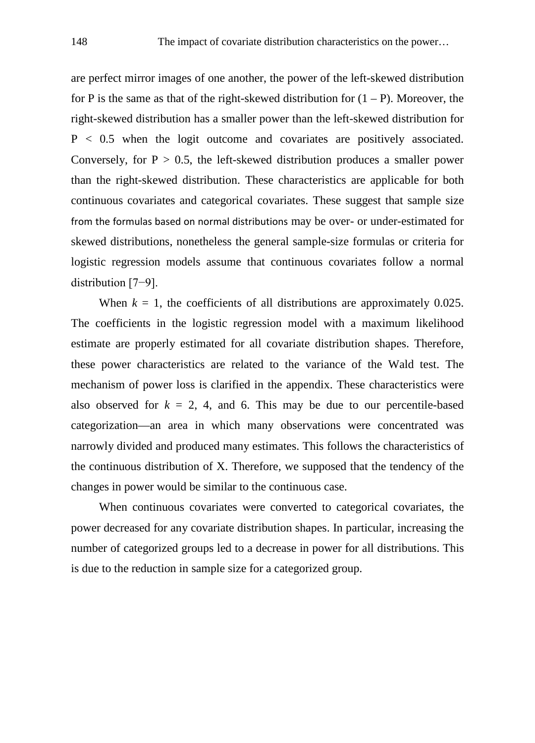are perfect mirror images of one another, the power of the left-skewed distribution for P is the same as that of the right-skewed distribution for  $(1 - P)$ . Moreover, the right-skewed distribution has a smaller power than the left-skewed distribution for P < 0.5 when the logit outcome and covariates are positively associated. Conversely, for  $P > 0.5$ , the left-skewed distribution produces a smaller power than the right-skewed distribution. These characteristics are applicable for both continuous covariates and categorical covariates. These suggest that sample size from the formulas based on normal distributions may be over- or under-estimated for skewed distributions, nonetheless the general sample-size formulas or criteria for logistic regression models assume that continuous covariates follow a normal distribution [7−9].

When  $k = 1$ , the coefficients of all distributions are approximately 0.025. The coefficients in the logistic regression model with a maximum likelihood estimate are properly estimated for all covariate distribution shapes. Therefore, these power characteristics are related to the variance of the Wald test. The mechanism of power loss is clarified in the appendix. These characteristics were also observed for  $k = 2, 4$ , and 6. This may be due to our percentile-based categorization—an area in which many observations were concentrated was narrowly divided and produced many estimates. This follows the characteristics of the continuous distribution of X. Therefore, we supposed that the tendency of the changes in power would be similar to the continuous case.

When continuous covariates were converted to categorical covariates, the power decreased for any covariate distribution shapes. In particular, increasing the number of categorized groups led to a decrease in power for all distributions. This is due to the reduction in sample size for a categorized group.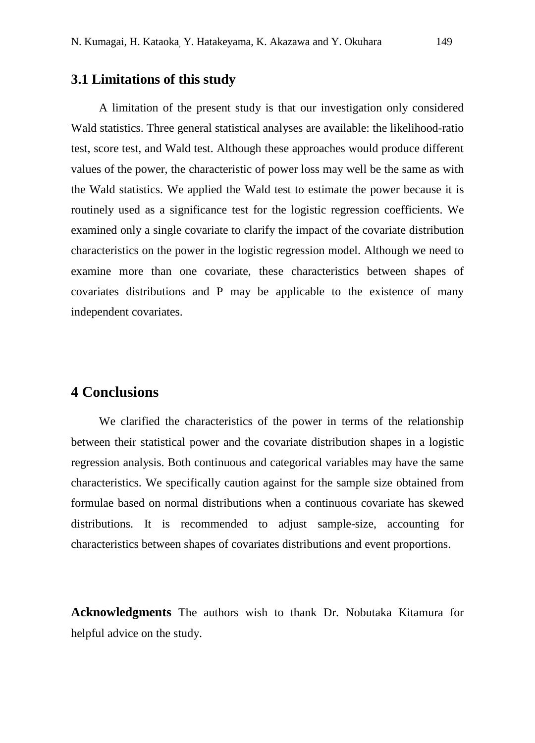## **3.1 Limitations of this study**

A limitation of the present study is that our investigation only considered Wald statistics. Three general statistical analyses are available: the likelihood-ratio test, score test, and Wald test. Although these approaches would produce different values of the power, the characteristic of power loss may well be the same as with the Wald statistics. We applied the Wald test to estimate the power because it is routinely used as a significance test for the logistic regression coefficients. We examined only a single covariate to clarify the impact of the covariate distribution characteristics on the power in the logistic regression model. Although we need to examine more than one covariate, these characteristics between shapes of covariates distributions and P may be applicable to the existence of many independent covariates.

# **4 Conclusions**

We clarified the characteristics of the power in terms of the relationship between their statistical power and the covariate distribution shapes in a logistic regression analysis. Both continuous and categorical variables may have the same characteristics. We specifically caution against for the sample size obtained from formulae based on normal distributions when a continuous covariate has skewed distributions. It is recommended to adjust sample-size, accounting for characteristics between shapes of covariates distributions and event proportions.

**Acknowledgments** The authors wish to thank Dr. Nobutaka Kitamura for helpful advice on the study.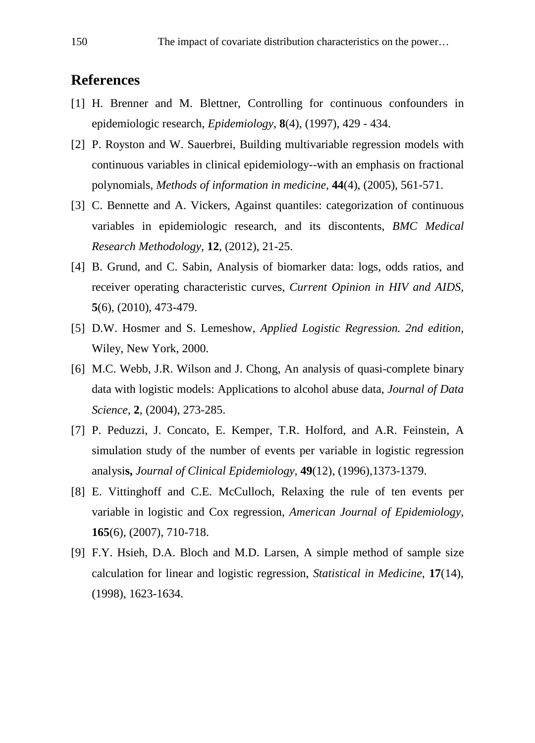# **References**

- [1] H. Brenner and M. Blettner, Controlling for continuous confounders in epidemiologic research, *Epidemiology*, **8**(4), (1997), 429 - 434.
- [2] P. Royston and W. Sauerbrei, Building multivariable regression models with continuous variables in clinical epidemiology--with an emphasis on fractional polynomials, *Methods of information in medicine,* **44**(4), (2005), 561-571.
- [3] C. Bennette and A. Vickers, Against quantiles: categorization of continuous variables in epidemiologic research, and its discontents, *BMC Medical Research Methodology,* **12**, (2012), 21-25.
- [4] B. Grund, and C. Sabin, Analysis of biomarker data: logs, odds ratios, and receiver operating characteristic curves, *Current Opinion in HIV and AIDS,* **5**(6), (2010), 473-479.
- [5] D.W. Hosmer and S. Lemeshow, *Applied Logistic Regression. 2nd edition,*  Wiley, New York, 2000.
- [6] M.C. Webb, J.R. Wilson and J. Chong, An analysis of quasi-complete binary data with logistic models: Applications to alcohol abuse data, *Journal of Data Science,* **2**, (2004), 273-285.
- [7] P. Peduzzi, J. Concato, E. Kemper, T.R. Holford, and A.R. Feinstein, A simulation study of the number of events per variable in logistic regression analysi**s,** *Journal of Clinical Epidemiology,* **49**(12), (1996),1373-1379.
- [8] E. Vittinghoff and C.E. McCulloch, Relaxing the rule of ten events per variable in logistic and Cox regression, *American Journal of Epidemiology,*  **165**(6), (2007), 710-718.
- [9] F.Y. Hsieh, D.A. Bloch and M.D. Larsen, A simple method of sample size calculation for linear and logistic regression, *Statistical in Medicine*, **17**(14), (1998), 1623-1634.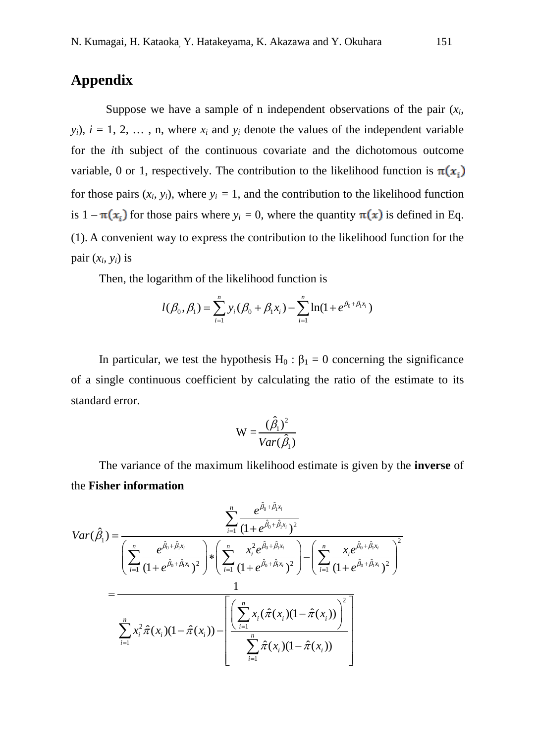# **Appendix**

Suppose we have a sample of n independent observations of the pair  $(x_i)$  $y_i$ ,  $i = 1, 2, \ldots, n$ , where  $x_i$  and  $y_i$  denote the values of the independent variable for the *i*th subject of the continuous covariate and the dichotomous outcome variable, 0 or 1, respectively. The contribution to the likelihood function is  $\pi(x_i)$ for those pairs  $(x_i, y_i)$ , where  $y_i = 1$ , and the contribution to the likelihood function is  $1 - \pi(x_i)$  for those pairs where  $y_i = 0$ , where the quantity  $\pi(x)$  is defined in Eq. (1). A convenient way to express the contribution to the likelihood function for the pair  $(x_i, y_i)$  is

Then, the logarithm of the likelihood function is

$$
l(\beta_0, \beta_1) = \sum_{i=1}^n y_i (\beta_0 + \beta_1 x_i) - \sum_{i=1}^n \ln(1 + e^{\beta_0 + \beta_1 x_i})
$$

In particular, we test the hypothesis  $H_0$ :  $\beta_1 = 0$  concerning the significance of a single continuous coefficient by calculating the ratio of the estimate to its standard error.

$$
W = \frac{(\hat{\beta}_1)^2}{Var(\hat{\beta}_1)}
$$

The variance of the maximum likelihood estimate is given by the **inverse** of the **Fisher information**

$$
Var(\hat{\beta}_1) = \frac{\sum_{i=1}^{n} \frac{e^{\hat{\beta}_0 + \hat{\beta}_1 x_i}}{(1 + e^{\hat{\beta}_0 + \hat{\beta}_1 x_i})^2}}{\left(\sum_{i=1}^{n} \frac{e^{\hat{\beta}_0 + \hat{\beta}_1 x_i}}{(1 + e^{\hat{\beta}_0 + \hat{\beta}_1 x_i})^2}\right) * \left(\sum_{i=1}^{n} \frac{x_i^2 e^{\hat{\beta}_0 + \hat{\beta}_1 x_i}}{(1 + e^{\hat{\beta}_0 + \hat{\beta}_1 x_i})^2}\right) - \left(\sum_{i=1}^{n} \frac{x_i e^{\hat{\beta}_0 + \hat{\beta}_1 x_i}}{(1 + e^{\hat{\beta}_0 + \hat{\beta}_1 x_i})^2}\right)^2}
$$
\n
$$
= \frac{1}{\sum_{i=1}^{n} x_i^2 \hat{\pi}(x_i)(1 - \hat{\pi}(x_i)) - \left[\frac{\left(\sum_{i=1}^{n} x_i (\hat{\pi}(x_i)(1 - \hat{\pi}(x_i)))\right)^2}{\sum_{i=1}^{n} \hat{\pi}(x_i)(1 - \hat{\pi}(x_i))}\right]^2}{\sum_{i=1}^{n} \hat{\pi}(x_i)(1 - \hat{\pi}(x_i))}\right]}
$$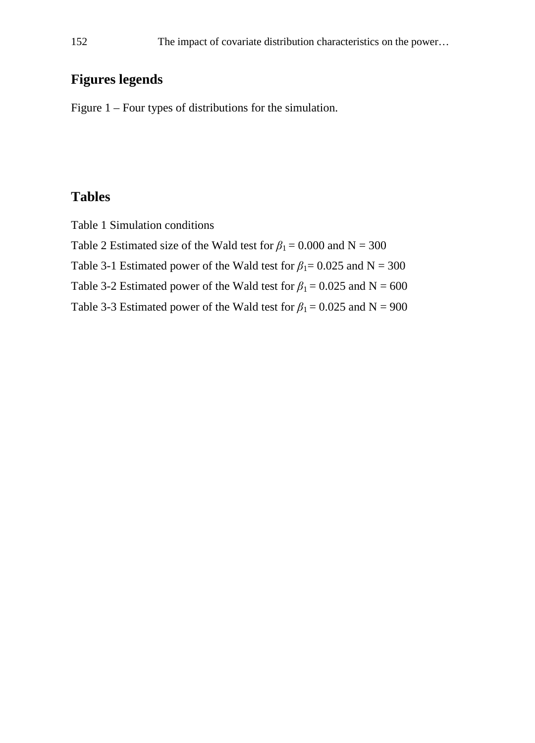# **Figures legends**

Figure 1 – Four types of distributions for the simulation.

# **Tables**

Table 1 Simulation conditions

- Table 2 Estimated size of the Wald test for  $\beta_1 = 0.000$  and N = 300
- Table 3-1 Estimated power of the Wald test for  $\beta_1 = 0.025$  and N = 300
- Table 3-2 Estimated power of the Wald test for  $\beta_1 = 0.025$  and N = 600
- <span id="page-11-0"></span>Table 3-3 Estimated power of the Wald test for  $\beta_1 = 0.025$  and N = 900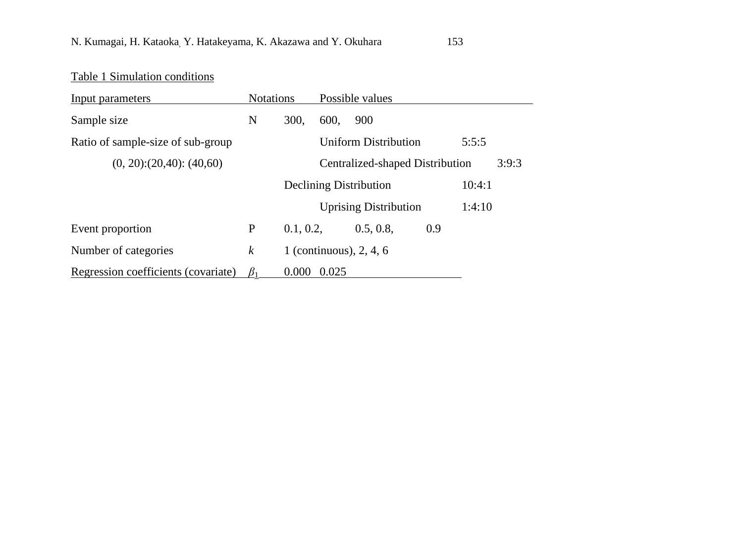# Table 1 Simulation conditions

| Input parameters                    | <b>Notations</b> |           |       | Possible values                 |        |       |
|-------------------------------------|------------------|-----------|-------|---------------------------------|--------|-------|
| Sample size                         | N                | 300,      | 600,  | 900                             |        |       |
| Ratio of sample-size of sub-group   |                  |           |       | <b>Uniform Distribution</b>     | 5:5:5  |       |
| $(0, 20)$ : $(20, 40)$ : $(40, 60)$ |                  |           |       | Centralized-shaped Distribution |        | 3:9:3 |
|                                     |                  |           |       | <b>Declining Distribution</b>   | 10:4:1 |       |
|                                     |                  |           |       | <b>Uprising Distribution</b>    | 1:4:10 |       |
| Event proportion                    | P                | 0.1, 0.2, |       | 0.5, 0.8,                       | 0.9    |       |
| Number of categories                | k                |           |       | 1 (continuous), $2, 4, 6$       |        |       |
| Regression coefficients (covariate) | $\beta_1$        | 0.000     | 0.025 |                                 |        |       |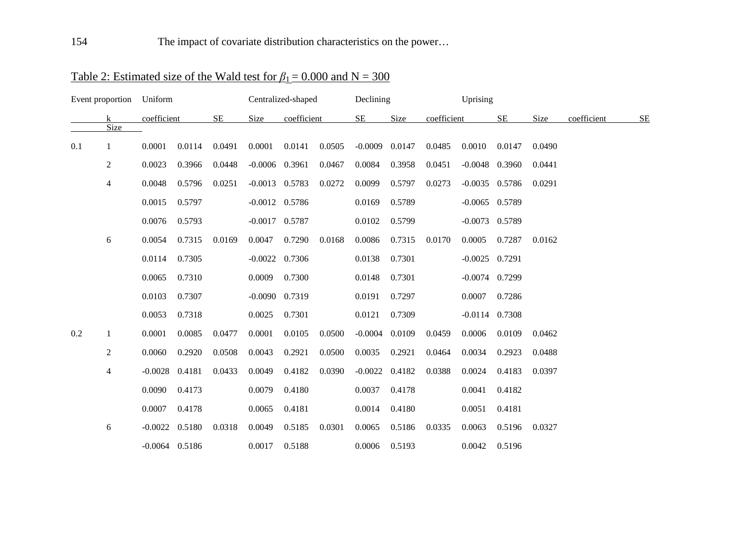|     | Event proportion | Uniform          |        |           |                    | Centralized-shaped |        | Declining |        |             | Uprising         |                  |        |             |           |
|-----|------------------|------------------|--------|-----------|--------------------|--------------------|--------|-----------|--------|-------------|------------------|------------------|--------|-------------|-----------|
|     | k<br>Size        | coefficient      |        | <b>SE</b> | Size               | coefficient        |        | SE        | Size   | coefficient |                  | <b>SE</b>        | Size   | coefficient | <b>SE</b> |
| 0.1 | 1                | 0.0001           | 0.0114 | 0.0491    | 0.0001             | 0.0141             | 0.0505 | $-0.0009$ | 0.0147 | 0.0485      | 0.0010           | 0.0147           | 0.0490 |             |           |
|     | 2                | 0.0023           | 0.3966 | 0.0448    | $-0.0006$ 0.3961   |                    | 0.0467 | 0.0084    | 0.3958 | 0.0451      |                  | $-0.0048$ 0.3960 | 0.0441 |             |           |
|     | 4                | 0.0048           | 0.5796 | 0.0251    | $-0.0013$ 0.5783   |                    | 0.0272 | 0.0099    | 0.5797 | 0.0273      |                  | $-0.0035$ 0.5786 | 0.0291 |             |           |
|     |                  | 0.0015           | 0.5797 |           | $-0.0012$ 0.5786   |                    |        | 0.0169    | 0.5789 |             | $-0.0065$ 0.5789 |                  |        |             |           |
|     |                  | 0.0076           | 0.5793 |           | $-0.0017$ 0.5787   |                    |        | 0.0102    | 0.5799 |             | $-0.0073$ 0.5789 |                  |        |             |           |
|     | 6                | 0.0054           | 0.7315 | 0.0169    | 0.0047             | 0.7290             | 0.0168 | 0.0086    | 0.7315 | 0.0170      | 0.0005           | 0.7287           | 0.0162 |             |           |
|     |                  | 0.0114           | 0.7305 |           | $-0.0022$ 0.7306   |                    |        | 0.0138    | 0.7301 |             | $-0.0025$ 0.7291 |                  |        |             |           |
|     |                  | 0.0065           | 0.7310 |           | 0.0009             | 0.7300             |        | 0.0148    | 0.7301 |             | $-0.0074$ 0.7299 |                  |        |             |           |
|     |                  | 0.0103           | 0.7307 |           | $-0.0090$ $0.7319$ |                    |        | 0.0191    | 0.7297 |             | 0.0007           | 0.7286           |        |             |           |
|     |                  | 0.0053           | 0.7318 |           | 0.0025             | 0.7301             |        | 0.0121    | 0.7309 |             | $-0.0114$ 0.7308 |                  |        |             |           |
| 0.2 | 1                | 0.0001           | 0.0085 | 0.0477    | 0.0001             | 0.0105             | 0.0500 | $-0.0004$ | 0.0109 | 0.0459      | 0.0006           | 0.0109           | 0.0462 |             |           |
|     | $\overline{c}$   | 0.0060           | 0.2920 | 0.0508    | 0.0043             | 0.2921             | 0.0500 | 0.0035    | 0.2921 | 0.0464      | 0.0034           | 0.2923           | 0.0488 |             |           |
|     | 4                | $-0.0028$        | 0.4181 | 0.0433    | 0.0049             | 0.4182             | 0.0390 | $-0.0022$ | 0.4182 | 0.0388      | 0.0024           | 0.4183           | 0.0397 |             |           |
|     |                  | 0.0090           | 0.4173 |           | 0.0079             | 0.4180             |        | 0.0037    | 0.4178 |             | 0.0041           | 0.4182           |        |             |           |
|     |                  | 0.0007           | 0.4178 |           | 0.0065             | 0.4181             |        | 0.0014    | 0.4180 |             | 0.0051           | 0.4181           |        |             |           |
|     | 6                | $-0.0022$        | 0.5180 | 0.0318    | 0.0049             | 0.5185             | 0.0301 | 0.0065    | 0.5186 | 0.0335      | 0.0063           | 0.5196           | 0.0327 |             |           |
|     |                  | $-0.0064$ 0.5186 |        |           | 0.0017             | 0.5188             |        | 0.0006    | 0.5193 |             | 0.0042           | 0.5196           |        |             |           |

# Table 2: Estimated size of the Wald test for  $\beta_1 = 0.000$  and N = 300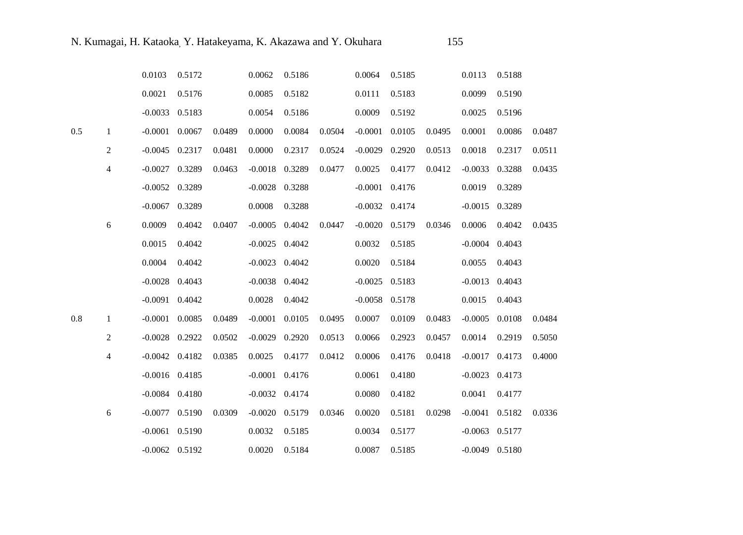|     |                | 0.0103             | 0.5172 |        | 0.0062             | 0.5186 |        | 0.0064           | 0.5185 |        | 0.0113             | 0.5188 |        |
|-----|----------------|--------------------|--------|--------|--------------------|--------|--------|------------------|--------|--------|--------------------|--------|--------|
|     |                | 0.0021             | 0.5176 |        | 0.0085             | 0.5182 |        | 0.0111           | 0.5183 |        | 0.0099             | 0.5190 |        |
|     |                | $-0.0033$          | 0.5183 |        | 0.0054             | 0.5186 |        | 0.0009           | 0.5192 |        | 0.0025             | 0.5196 |        |
| 0.5 | $\mathbf{1}$   | $-0.0001$          | 0.0067 | 0.0489 | 0.0000             | 0.0084 | 0.0504 | $-0.0001$        | 0.0105 | 0.0495 | 0.0001             | 0.0086 | 0.0487 |
|     | 2              | $-0.0045$ 0.2317   |        | 0.0481 | 0.0000             | 0.2317 | 0.0524 | $-0.0029$        | 0.2920 | 0.0513 | 0.0018             | 0.2317 | 0.0511 |
|     | $\overline{4}$ | $-0.0027$          | 0.3289 | 0.0463 | $-0.0018$          | 0.3289 | 0.0477 | 0.0025           | 0.4177 | 0.0412 | $-0.0033$          | 0.3288 | 0.0435 |
|     |                | $-0.0052$ 0.3289   |        |        | $-0.0028$          | 0.3288 |        | $-0.0001$        | 0.4176 |        | 0.0019             | 0.3289 |        |
|     |                | $-0.0067$          | 0.3289 |        | 0.0008             | 0.3288 |        | $-0.0032$ 0.4174 |        |        | $-0.0015$          | 0.3289 |        |
|     | 6              | 0.0009             | 0.4042 | 0.0407 | $-0.0005$ 0.4042   |        | 0.0447 | $-0.0020$        | 0.5179 | 0.0346 | 0.0006             | 0.4042 | 0.0435 |
|     |                | 0.0015             | 0.4042 |        | $-0.0025$ 0.4042   |        |        | 0.0032           | 0.5185 |        | $-0.0004$          | 0.4043 |        |
|     |                | 0.0004             | 0.4042 |        | $-0.0023$          | 0.4042 |        | 0.0020           | 0.5184 |        | 0.0055             | 0.4043 |        |
|     |                | $-0.0028$          | 0.4043 |        | $-0.0038$          | 0.4042 |        | $-0.0025$        | 0.5183 |        | $-0.0013$          | 0.4043 |        |
|     |                | $-0.0091$          | 0.4042 |        | 0.0028             | 0.4042 |        | $-0.0058$        | 0.5178 |        | 0.0015             | 0.4043 |        |
| 0.8 | $\mathbf{1}$   | $-0.0001$          | 0.0085 | 0.0489 | $-0.0001$          | 0.0105 | 0.0495 | 0.0007           | 0.0109 | 0.0483 | $-0.0005$          | 0.0108 | 0.0484 |
|     | $\overline{2}$ | $-0.0028$          | 0.2922 | 0.0502 | $-0.0029$          | 0.2920 | 0.0513 | 0.0066           | 0.2923 | 0.0457 | 0.0014             | 0.2919 | 0.5050 |
|     | 4              | $-0.0042$ 0.4182   |        | 0.0385 | 0.0025             | 0.4177 | 0.0412 | 0.0006           | 0.4176 | 0.0418 | $-0.0017$          | 0.4173 | 0.4000 |
|     |                | $-0.0016$ 0.4185   |        |        | $-0.0001$ 0.4176   |        |        | 0.0061           | 0.4180 |        | $-0.0023$          | 0.4173 |        |
|     |                | $-0.0084$ 0.4180   |        |        | $-0.0032$ $0.4174$ |        |        | 0.0080           | 0.4182 |        | 0.0041             | 0.4177 |        |
|     | 6              | $-0.0077$ 0.5190   |        | 0.0309 | $-0.0020$          | 0.5179 | 0.0346 | 0.0020           | 0.5181 | 0.0298 | $-0.0041$          | 0.5182 | 0.0336 |
|     |                | $-0.0061$          | 0.5190 |        | 0.0032             | 0.5185 |        | 0.0034           | 0.5177 |        | $-0.0063$          | 0.5177 |        |
|     |                | $-0.0062$ $0.5192$ |        |        | 0.0020             | 0.5184 |        | 0.0087           | 0.5185 |        | $-0.0049$ $0.5180$ |        |        |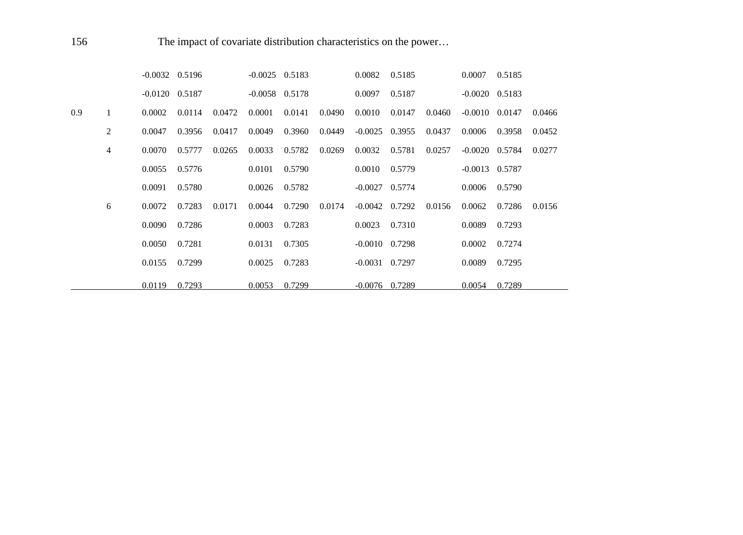156 The impact of covariate distribution characteristics on the power...

|     |   | $-0.0032$ $0.5196$ |        |        | $-0.0025$ 0.5183 |        |        | 0.0082           | 0.5185 |        | 0.0007             | 0.5185 |        |
|-----|---|--------------------|--------|--------|------------------|--------|--------|------------------|--------|--------|--------------------|--------|--------|
|     |   | $-0.0120$ $0.5187$ |        |        | $-0.0058$ 0.5178 |        |        | 0.0097           | 0.5187 |        | $-0.0020$ $0.5183$ |        |        |
| 0.9 | 1 | 0.0002             | 0.0114 | 0.0472 | 0.0001           | 0.0141 | 0.0490 | 0.0010           | 0.0147 | 0.0460 | $-0.0010$          | 0.0147 | 0.0466 |
|     | 2 | 0.0047             | 0.3956 | 0.0417 | 0.0049           | 0.3960 | 0.0449 | $-0.0025$ 0.3955 |        | 0.0437 | 0.0006             | 0.3958 | 0.0452 |
|     | 4 | 0.0070             | 0.5777 | 0.0265 | 0.0033           | 0.5782 | 0.0269 | 0.0032           | 0.5781 | 0.0257 | $-0.0020$          | 0.5784 | 0.0277 |
|     |   | 0.0055             | 0.5776 |        | 0.0101           | 0.5790 |        | 0.0010           | 0.5779 |        | $-0.0013$ 0.5787   |        |        |
|     |   | 0.0091             | 0.5780 |        | 0.0026           | 0.5782 |        | $-0.0027$        | 0.5774 |        | 0.0006             | 0.5790 |        |
|     | 6 | 0.0072             | 0.7283 | 0.0171 | 0.0044           | 0.7290 | 0.0174 | $-0.0042$ 0.7292 |        | 0.0156 | 0.0062             | 0.7286 | 0.0156 |
|     |   | 0.0090             | 0.7286 |        | 0.0003           | 0.7283 |        | 0.0023           | 0.7310 |        | 0.0089             | 0.7293 |        |
|     |   | 0.0050             | 0.7281 |        | 0.0131           | 0.7305 |        | $-0.0010$        | 0.7298 |        | 0.0002             | 0.7274 |        |
|     |   | 0.0155             | 0.7299 |        | 0.0025           | 0.7283 |        | $-0.0031$ 0.7297 |        |        | 0.0089             | 0.7295 |        |
|     |   | 0.0119             | 0.7293 |        | 0.0053           | 0.7299 |        | $-0.0076$        | 0.7289 |        | 0.0054             | 0.7289 |        |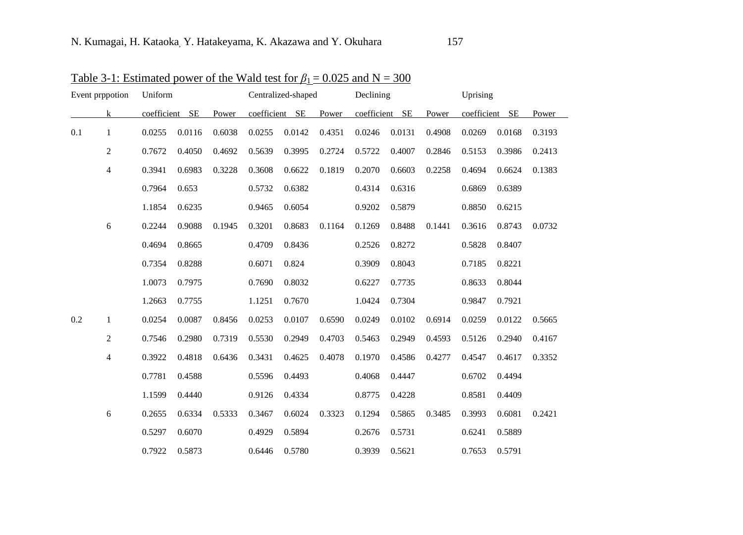| Event prppotion |                | Uniform        |        |        |                | Centralized-shaped |        | Declining      |        |        | Uprising    |           |        |
|-----------------|----------------|----------------|--------|--------|----------------|--------------------|--------|----------------|--------|--------|-------------|-----------|--------|
|                 | $\mathbf{k}$   | coefficient SE |        | Power  | coefficient SE |                    | Power  | coefficient SE |        | Power  | coefficient | <b>SE</b> | Power  |
| 0.1             | $\mathbf{1}$   | 0.0255         | 0.0116 | 0.6038 | 0.0255         | 0.0142             | 0.4351 | 0.0246         | 0.0131 | 0.4908 | 0.0269      | 0.0168    | 0.3193 |
|                 | $\overline{c}$ | 0.7672         | 0.4050 | 0.4692 | 0.5639         | 0.3995             | 0.2724 | 0.5722         | 0.4007 | 0.2846 | 0.5153      | 0.3986    | 0.2413 |
|                 | $\overline{4}$ | 0.3941         | 0.6983 | 0.3228 | 0.3608         | 0.6622             | 0.1819 | 0.2070         | 0.6603 | 0.2258 | 0.4694      | 0.6624    | 0.1383 |
|                 |                | 0.7964         | 0.653  |        | 0.5732         | 0.6382             |        | 0.4314         | 0.6316 |        | 0.6869      | 0.6389    |        |
|                 |                | 1.1854         | 0.6235 |        | 0.9465         | 0.6054             |        | 0.9202         | 0.5879 |        | 0.8850      | 0.6215    |        |
|                 | 6              | 0.2244         | 0.9088 | 0.1945 | 0.3201         | 0.8683             | 0.1164 | 0.1269         | 0.8488 | 0.1441 | 0.3616      | 0.8743    | 0.0732 |
|                 |                | 0.4694         | 0.8665 |        | 0.4709         | 0.8436             |        | 0.2526         | 0.8272 |        | 0.5828      | 0.8407    |        |
|                 |                | 0.7354         | 0.8288 |        | 0.6071         | 0.824              |        | 0.3909         | 0.8043 |        | 0.7185      | 0.8221    |        |
|                 |                | 1.0073         | 0.7975 |        | 0.7690         | 0.8032             |        | 0.6227         | 0.7735 |        | 0.8633      | 0.8044    |        |
|                 |                | 1.2663         | 0.7755 |        | 1.1251         | 0.7670             |        | 1.0424         | 0.7304 |        | 0.9847      | 0.7921    |        |
| 0.2             | 1              | 0.0254         | 0.0087 | 0.8456 | 0.0253         | 0.0107             | 0.6590 | 0.0249         | 0.0102 | 0.6914 | 0.0259      | 0.0122    | 0.5665 |
|                 | $\overline{c}$ | 0.7546         | 0.2980 | 0.7319 | 0.5530         | 0.2949             | 0.4703 | 0.5463         | 0.2949 | 0.4593 | 0.5126      | 0.2940    | 0.4167 |
|                 | 4              | 0.3922         | 0.4818 | 0.6436 | 0.3431         | 0.4625             | 0.4078 | 0.1970         | 0.4586 | 0.4277 | 0.4547      | 0.4617    | 0.3352 |
|                 |                | 0.7781         | 0.4588 |        | 0.5596         | 0.4493             |        | 0.4068         | 0.4447 |        | 0.6702      | 0.4494    |        |
|                 |                | 1.1599         | 0.4440 |        | 0.9126         | 0.4334             |        | 0.8775         | 0.4228 |        | 0.8581      | 0.4409    |        |
|                 | 6              | 0.2655         | 0.6334 | 0.5333 | 0.3467         | 0.6024             | 0.3323 | 0.1294         | 0.5865 | 0.3485 | 0.3993      | 0.6081    | 0.2421 |
|                 |                | 0.5297         | 0.6070 |        | 0.4929         | 0.5894             |        | 0.2676         | 0.5731 |        | 0.6241      | 0.5889    |        |
|                 |                | 0.7922         | 0.5873 |        | 0.6446         | 0.5780             |        | 0.3939         | 0.5621 |        | 0.7653      | 0.5791    |        |

Table 3-1: Estimated power of the Wald test for  $\beta_1 = 0.025$  and N = 300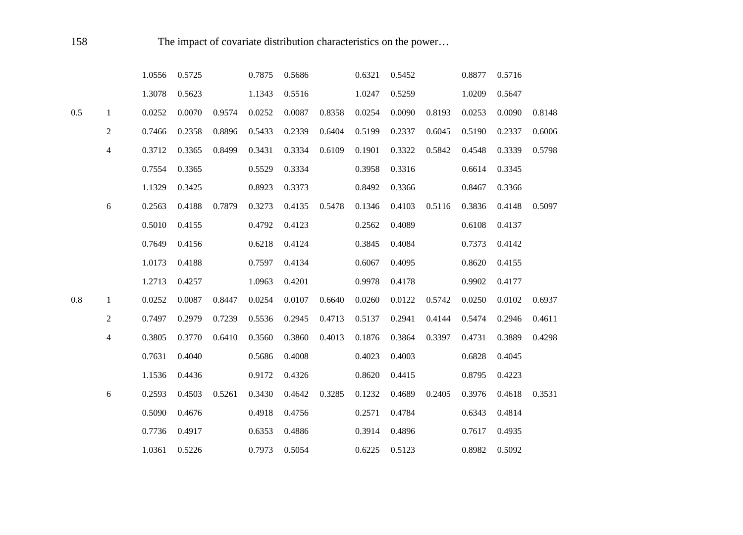|     |                | 1.0556 | 0.5725 |        | 0.7875 | 0.5686 |        | 0.6321 | 0.5452 |        | 0.8877 | 0.5716 |        |
|-----|----------------|--------|--------|--------|--------|--------|--------|--------|--------|--------|--------|--------|--------|
|     |                | 1.3078 | 0.5623 |        | 1.1343 | 0.5516 |        | 1.0247 | 0.5259 |        | 1.0209 | 0.5647 |        |
| 0.5 | $\mathbf{1}$   | 0.0252 | 0.0070 | 0.9574 | 0.0252 | 0.0087 | 0.8358 | 0.0254 | 0.0090 | 0.8193 | 0.0253 | 0.0090 | 0.8148 |
|     | $\overline{c}$ | 0.7466 | 0.2358 | 0.8896 | 0.5433 | 0.2339 | 0.6404 | 0.5199 | 0.2337 | 0.6045 | 0.5190 | 0.2337 | 0.6006 |
|     | 4              | 0.3712 | 0.3365 | 0.8499 | 0.3431 | 0.3334 | 0.6109 | 0.1901 | 0.3322 | 0.5842 | 0.4548 | 0.3339 | 0.5798 |
|     |                | 0.7554 | 0.3365 |        | 0.5529 | 0.3334 |        | 0.3958 | 0.3316 |        | 0.6614 | 0.3345 |        |
|     |                | 1.1329 | 0.3425 |        | 0.8923 | 0.3373 |        | 0.8492 | 0.3366 |        | 0.8467 | 0.3366 |        |
|     | 6              | 0.2563 | 0.4188 | 0.7879 | 0.3273 | 0.4135 | 0.5478 | 0.1346 | 0.4103 | 0.5116 | 0.3836 | 0.4148 | 0.5097 |
|     |                | 0.5010 | 0.4155 |        | 0.4792 | 0.4123 |        | 0.2562 | 0.4089 |        | 0.6108 | 0.4137 |        |
|     |                | 0.7649 | 0.4156 |        | 0.6218 | 0.4124 |        | 0.3845 | 0.4084 |        | 0.7373 | 0.4142 |        |
|     |                | 1.0173 | 0.4188 |        | 0.7597 | 0.4134 |        | 0.6067 | 0.4095 |        | 0.8620 | 0.4155 |        |
|     |                | 1.2713 | 0.4257 |        | 1.0963 | 0.4201 |        | 0.9978 | 0.4178 |        | 0.9902 | 0.4177 |        |
| 0.8 | $\mathbf{1}$   | 0.0252 | 0.0087 | 0.8447 | 0.0254 | 0.0107 | 0.6640 | 0.0260 | 0.0122 | 0.5742 | 0.0250 | 0.0102 | 0.6937 |
|     | $\overline{c}$ | 0.7497 | 0.2979 | 0.7239 | 0.5536 | 0.2945 | 0.4713 | 0.5137 | 0.2941 | 0.4144 | 0.5474 | 0.2946 | 0.4611 |
|     | 4              | 0.3805 | 0.3770 | 0.6410 | 0.3560 | 0.3860 | 0.4013 | 0.1876 | 0.3864 | 0.3397 | 0.4731 | 0.3889 | 0.4298 |
|     |                | 0.7631 | 0.4040 |        | 0.5686 | 0.4008 |        | 0.4023 | 0.4003 |        | 0.6828 | 0.4045 |        |
|     |                | 1.1536 | 0.4436 |        | 0.9172 | 0.4326 |        | 0.8620 | 0.4415 |        | 0.8795 | 0.4223 |        |
|     | $\sqrt{6}$     | 0.2593 | 0.4503 | 0.5261 | 0.3430 | 0.4642 | 0.3285 | 0.1232 | 0.4689 | 0.2405 | 0.3976 | 0.4618 | 0.3531 |
|     |                | 0.5090 | 0.4676 |        | 0.4918 | 0.4756 |        | 0.2571 | 0.4784 |        | 0.6343 | 0.4814 |        |
|     |                | 0.7736 | 0.4917 |        | 0.6353 | 0.4886 |        | 0.3914 | 0.4896 |        | 0.7617 | 0.4935 |        |
|     |                | 1.0361 | 0.5226 |        | 0.7973 | 0.5054 |        | 0.6225 | 0.5123 |        | 0.8982 | 0.5092 |        |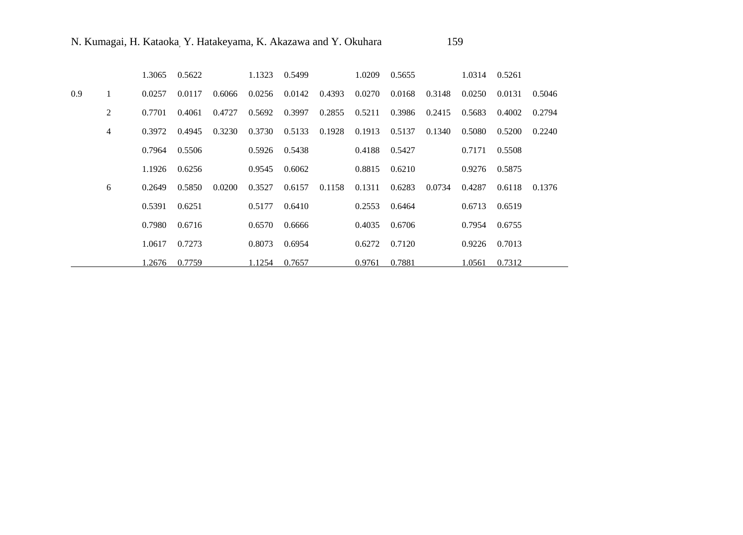|     |                | 1.3065 | 0.5622 |        | 1.1323 | 0.5499 |        | 1.0209            | 0.5655 |        | 1.0314 | 0.5261 |        |
|-----|----------------|--------|--------|--------|--------|--------|--------|-------------------|--------|--------|--------|--------|--------|
| 0.9 |                | 0.0257 | 0.0117 | 0.6066 | 0.0256 | 0.0142 | 0.4393 | 0.0270            | 0.0168 | 0.3148 | 0.0250 | 0.0131 | 0.5046 |
|     | 2              | 0.7701 | 0.4061 | 0.4727 | 0.5692 | 0.3997 | 0.2855 | 0.5211            | 0.3986 | 0.2415 | 0.5683 | 0.4002 | 0.2794 |
|     | $\overline{4}$ | 0.3972 | 0.4945 | 0.3230 | 0.3730 | 0.5133 | 0.1928 | 0.1913            | 0.5137 | 0.1340 | 0.5080 | 0.5200 | 0.2240 |
|     |                | 0.7964 | 0.5506 |        | 0.5926 | 0.5438 |        | 0.4188 0.5427     |        |        | 0.7171 | 0.5508 |        |
|     |                | 1.1926 | 0.6256 |        | 0.9545 | 0.6062 |        | $0.8815$ $0.6210$ |        |        | 0.9276 | 0.5875 |        |
|     | 6              | 0.2649 | 0.5850 | 0.0200 | 0.3527 | 0.6157 | 0.1158 | 0.1311            | 0.6283 | 0.0734 | 0.4287 | 0.6118 | 0.1376 |
|     |                | 0.5391 | 0.6251 |        | 0.5177 | 0.6410 |        | $0.2553$ $0.6464$ |        |        | 0.6713 | 0.6519 |        |
|     |                | 0.7980 | 0.6716 |        | 0.6570 | 0.6666 |        | 0.4035            | 0.6706 |        | 0.7954 | 0.6755 |        |
|     |                | 1.0617 | 0.7273 |        | 0.8073 | 0.6954 |        | 0.6272            | 0.7120 |        | 0.9226 | 0.7013 |        |
|     |                | 1.2676 | 0.7759 |        | 1.1254 | 0.7657 |        | 0.9761            | 0.7881 |        | 1.0561 | 0.7312 |        |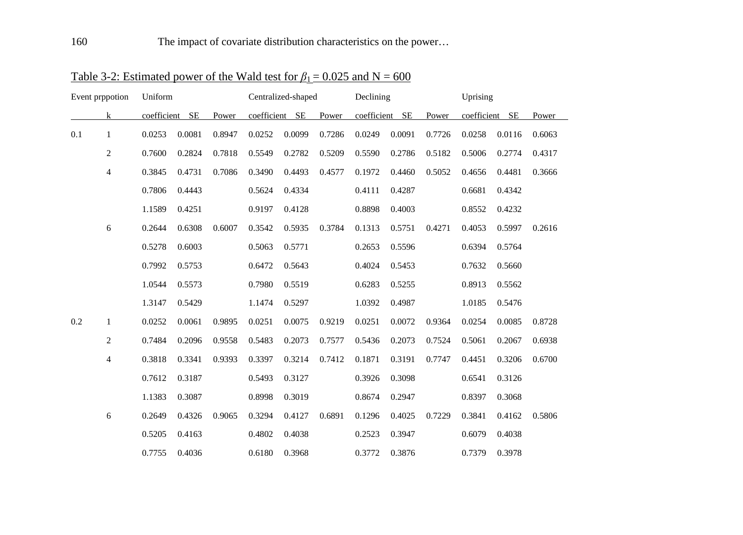| Event prppotion |                  | Uniform        |        |        |                | Centralized-shaped |        | Declining   |           |        | Uprising    |           |        |
|-----------------|------------------|----------------|--------|--------|----------------|--------------------|--------|-------------|-----------|--------|-------------|-----------|--------|
|                 | k                | coefficient SE |        | Power  | coefficient SE |                    | Power  | coefficient | <b>SE</b> | Power  | coefficient | <b>SE</b> | Power  |
| 0.1             | 1                | 0.0253         | 0.0081 | 0.8947 | 0.0252         | 0.0099             | 0.7286 | 0.0249      | 0.0091    | 0.7726 | 0.0258      | 0.0116    | 0.6063 |
|                 | $\boldsymbol{2}$ | 0.7600         | 0.2824 | 0.7818 | 0.5549         | 0.2782             | 0.5209 | 0.5590      | 0.2786    | 0.5182 | 0.5006      | 0.2774    | 0.4317 |
|                 | $\overline{4}$   | 0.3845         | 0.4731 | 0.7086 | 0.3490         | 0.4493             | 0.4577 | 0.1972      | 0.4460    | 0.5052 | 0.4656      | 0.4481    | 0.3666 |
|                 |                  | 0.7806         | 0.4443 |        | 0.5624         | 0.4334             |        | 0.4111      | 0.4287    |        | 0.6681      | 0.4342    |        |
|                 |                  | 1.1589         | 0.4251 |        | 0.9197         | 0.4128             |        | 0.8898      | 0.4003    |        | 0.8552      | 0.4232    |        |
|                 | 6                | 0.2644         | 0.6308 | 0.6007 | 0.3542         | 0.5935             | 0.3784 | 0.1313      | 0.5751    | 0.4271 | 0.4053      | 0.5997    | 0.2616 |
|                 |                  | 0.5278         | 0.6003 |        | 0.5063         | 0.5771             |        | 0.2653      | 0.5596    |        | 0.6394      | 0.5764    |        |
|                 |                  | 0.7992         | 0.5753 |        | 0.6472         | 0.5643             |        | 0.4024      | 0.5453    |        | 0.7632      | 0.5660    |        |
|                 |                  | 1.0544         | 0.5573 |        | 0.7980         | 0.5519             |        | 0.6283      | 0.5255    |        | 0.8913      | 0.5562    |        |
|                 |                  | 1.3147         | 0.5429 |        | 1.1474         | 0.5297             |        | 1.0392      | 0.4987    |        | 1.0185      | 0.5476    |        |
| 0.2             | 1                | 0.0252         | 0.0061 | 0.9895 | 0.0251         | 0.0075             | 0.9219 | 0.0251      | 0.0072    | 0.9364 | 0.0254      | 0.0085    | 0.8728 |
|                 | $\overline{c}$   | 0.7484         | 0.2096 | 0.9558 | 0.5483         | 0.2073             | 0.7577 | 0.5436      | 0.2073    | 0.7524 | 0.5061      | 0.2067    | 0.6938 |
|                 | $\overline{4}$   | 0.3818         | 0.3341 | 0.9393 | 0.3397         | 0.3214             | 0.7412 | 0.1871      | 0.3191    | 0.7747 | 0.4451      | 0.3206    | 0.6700 |
|                 |                  | 0.7612         | 0.3187 |        | 0.5493         | 0.3127             |        | 0.3926      | 0.3098    |        | 0.6541      | 0.3126    |        |
|                 |                  | 1.1383         | 0.3087 |        | 0.8998         | 0.3019             |        | 0.8674      | 0.2947    |        | 0.8397      | 0.3068    |        |
|                 | 6                | 0.2649         | 0.4326 | 0.9065 | 0.3294         | 0.4127             | 0.6891 | 0.1296      | 0.4025    | 0.7229 | 0.3841      | 0.4162    | 0.5806 |
|                 |                  | 0.5205         | 0.4163 |        | 0.4802         | 0.4038             |        | 0.2523      | 0.3947    |        | 0.6079      | 0.4038    |        |
|                 |                  | 0.7755         | 0.4036 |        | 0.6180         | 0.3968             |        | 0.3772      | 0.3876    |        | 0.7379      | 0.3978    |        |

Table 3-2: Estimated power of the Wald test for  $\beta_1 = 0.025$  and N = 600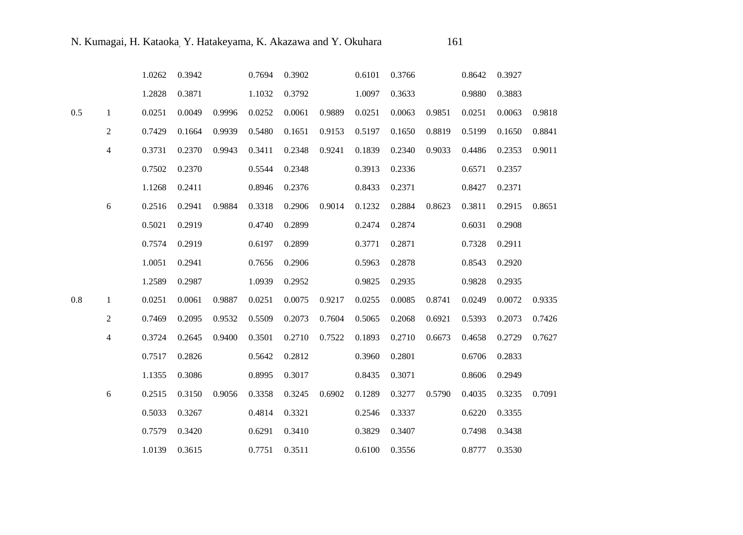|     |                | 1.0262 | 0.3942 |        | 0.7694 | 0.3902 |        | 0.6101 | 0.3766 |        | 0.8642 | 0.3927 |        |
|-----|----------------|--------|--------|--------|--------|--------|--------|--------|--------|--------|--------|--------|--------|
|     |                | 1.2828 | 0.3871 |        | 1.1032 | 0.3792 |        | 1.0097 | 0.3633 |        | 0.9880 | 0.3883 |        |
| 0.5 | $\mathbf{1}$   | 0.0251 | 0.0049 | 0.9996 | 0.0252 | 0.0061 | 0.9889 | 0.0251 | 0.0063 | 0.9851 | 0.0251 | 0.0063 | 0.9818 |
|     | $\overline{2}$ | 0.7429 | 0.1664 | 0.9939 | 0.5480 | 0.1651 | 0.9153 | 0.5197 | 0.1650 | 0.8819 | 0.5199 | 0.1650 | 0.8841 |
|     | $\overline{4}$ | 0.3731 | 0.2370 | 0.9943 | 0.3411 | 0.2348 | 0.9241 | 0.1839 | 0.2340 | 0.9033 | 0.4486 | 0.2353 | 0.9011 |
|     |                | 0.7502 | 0.2370 |        | 0.5544 | 0.2348 |        | 0.3913 | 0.2336 |        | 0.6571 | 0.2357 |        |
|     |                | 1.1268 | 0.2411 |        | 0.8946 | 0.2376 |        | 0.8433 | 0.2371 |        | 0.8427 | 0.2371 |        |
|     | $\sqrt{6}$     | 0.2516 | 0.2941 | 0.9884 | 0.3318 | 0.2906 | 0.9014 | 0.1232 | 0.2884 | 0.8623 | 0.3811 | 0.2915 | 0.8651 |
|     |                | 0.5021 | 0.2919 |        | 0.4740 | 0.2899 |        | 0.2474 | 0.2874 |        | 0.6031 | 0.2908 |        |
|     |                | 0.7574 | 0.2919 |        | 0.6197 | 0.2899 |        | 0.3771 | 0.2871 |        | 0.7328 | 0.2911 |        |
|     |                | 1.0051 | 0.2941 |        | 0.7656 | 0.2906 |        | 0.5963 | 0.2878 |        | 0.8543 | 0.2920 |        |
|     |                | 1.2589 | 0.2987 |        | 1.0939 | 0.2952 |        | 0.9825 | 0.2935 |        | 0.9828 | 0.2935 |        |
| 0.8 | $\mathbf{1}$   | 0.0251 | 0.0061 | 0.9887 | 0.0251 | 0.0075 | 0.9217 | 0.0255 | 0.0085 | 0.8741 | 0.0249 | 0.0072 | 0.9335 |
|     | $\overline{2}$ | 0.7469 | 0.2095 | 0.9532 | 0.5509 | 0.2073 | 0.7604 | 0.5065 | 0.2068 | 0.6921 | 0.5393 | 0.2073 | 0.7426 |
|     | $\overline{4}$ | 0.3724 | 0.2645 | 0.9400 | 0.3501 | 0.2710 | 0.7522 | 0.1893 | 0.2710 | 0.6673 | 0.4658 | 0.2729 | 0.7627 |
|     |                | 0.7517 | 0.2826 |        | 0.5642 | 0.2812 |        | 0.3960 | 0.2801 |        | 0.6706 | 0.2833 |        |
|     |                | 1.1355 | 0.3086 |        | 0.8995 | 0.3017 |        | 0.8435 | 0.3071 |        | 0.8606 | 0.2949 |        |
|     | 6              | 0.2515 | 0.3150 | 0.9056 | 0.3358 | 0.3245 | 0.6902 | 0.1289 | 0.3277 | 0.5790 | 0.4035 | 0.3235 | 0.7091 |
|     |                | 0.5033 | 0.3267 |        | 0.4814 | 0.3321 |        | 0.2546 | 0.3337 |        | 0.6220 | 0.3355 |        |
|     |                | 0.7579 | 0.3420 |        | 0.6291 | 0.3410 |        | 0.3829 | 0.3407 |        | 0.7498 | 0.3438 |        |
|     |                | 1.0139 | 0.3615 |        | 0.7751 | 0.3511 |        | 0.6100 | 0.3556 |        | 0.8777 | 0.3530 |        |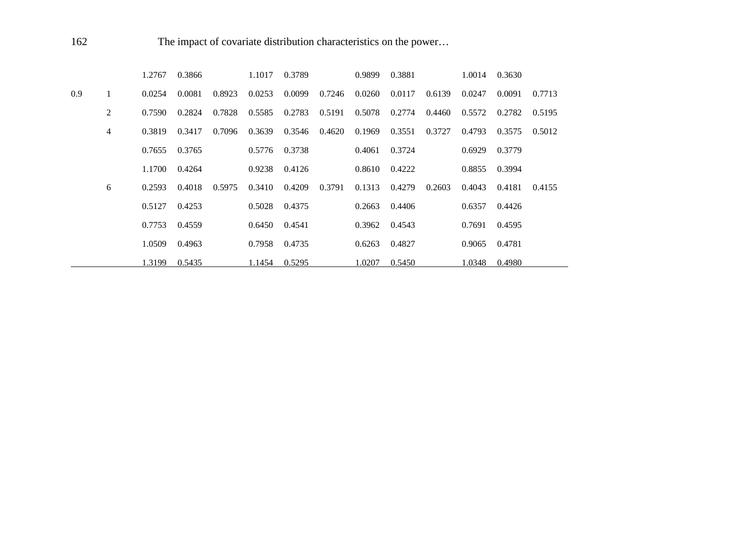162 The impact of covariate distribution characteristics on the power...

|     |   | 1.2767 | 0.3866 |        | 1.1017 | 0.3789 |        | 0.9899 | 0.3881 |        | 1.0014 | 0.3630 |        |
|-----|---|--------|--------|--------|--------|--------|--------|--------|--------|--------|--------|--------|--------|
| 0.9 |   | 0.0254 | 0.0081 | 0.8923 | 0.0253 | 0.0099 | 0.7246 | 0.0260 | 0.0117 | 0.6139 | 0.0247 | 0.0091 | 0.7713 |
|     | 2 | 0.7590 | 0.2824 | 0.7828 | 0.5585 | 0.2783 | 0.5191 | 0.5078 | 0.2774 | 0.4460 | 0.5572 | 0.2782 | 0.5195 |
|     | 4 | 0.3819 | 0.3417 | 0.7096 | 0.3639 | 0.3546 | 0.4620 | 0.1969 | 0.3551 | 0.3727 | 0.4793 | 0.3575 | 0.5012 |
|     |   | 0.7655 | 0.3765 |        | 0.5776 | 0.3738 |        | 0.4061 | 0.3724 |        | 0.6929 | 0.3779 |        |
|     |   | 1.1700 | 0.4264 |        | 0.9238 | 0.4126 |        | 0.8610 | 0.4222 |        | 0.8855 | 0.3994 |        |
|     | 6 | 0.2593 | 0.4018 | 0.5975 | 0.3410 | 0.4209 | 0.3791 | 0.1313 | 0.4279 | 0.2603 | 0.4043 | 0.4181 | 0.4155 |
|     |   | 0.5127 | 0.4253 |        | 0.5028 | 0.4375 |        | 0.2663 | 0.4406 |        | 0.6357 | 0.4426 |        |
|     |   | 0.7753 | 0.4559 |        | 0.6450 | 0.4541 |        | 0.3962 | 0.4543 |        | 0.7691 | 0.4595 |        |
|     |   | 1.0509 | 0.4963 |        | 0.7958 | 0.4735 |        | 0.6263 | 0.4827 |        | 0.9065 | 0.4781 |        |
|     |   | 1.3199 | 0.5435 |        | 1.1454 | 0.5295 |        | 1.0207 | 0.5450 |        | 1.0348 | 0.4980 |        |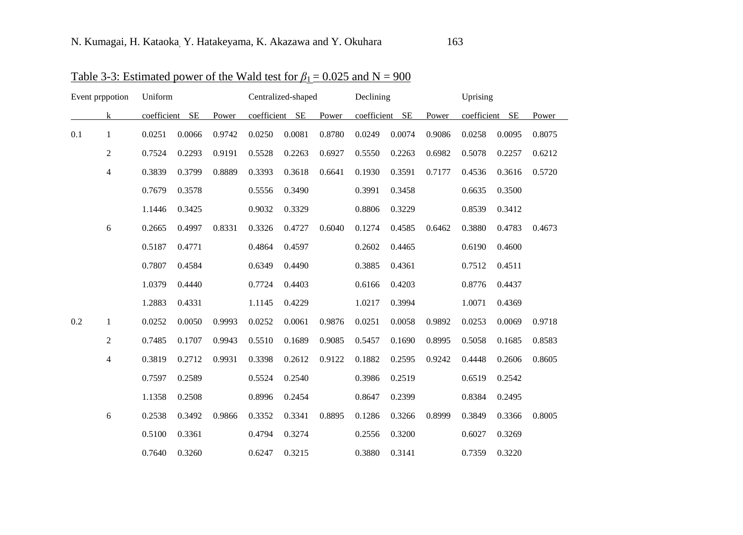| Event prppotion |                | Uniform        |        |        |                | Centralized-shaped |        | Declining      |        |        | Uprising    |           |        |
|-----------------|----------------|----------------|--------|--------|----------------|--------------------|--------|----------------|--------|--------|-------------|-----------|--------|
|                 | k              | coefficient SE |        | Power  | coefficient SE |                    | Power  | coefficient SE |        | Power  | coefficient | <b>SE</b> | Power  |
| 0.1             | $\mathbf{1}$   | 0.0251         | 0.0066 | 0.9742 | 0.0250         | 0.0081             | 0.8780 | 0.0249         | 0.0074 | 0.9086 | 0.0258      | 0.0095    | 0.8075 |
|                 | $\overline{c}$ | 0.7524         | 0.2293 | 0.9191 | 0.5528         | 0.2263             | 0.6927 | 0.5550         | 0.2263 | 0.6982 | 0.5078      | 0.2257    | 0.6212 |
|                 | 4              | 0.3839         | 0.3799 | 0.8889 | 0.3393         | 0.3618             | 0.6641 | 0.1930         | 0.3591 | 0.7177 | 0.4536      | 0.3616    | 0.5720 |
|                 |                | 0.7679         | 0.3578 |        | 0.5556         | 0.3490             |        | 0.3991         | 0.3458 |        | 0.6635      | 0.3500    |        |
|                 |                | 1.1446         | 0.3425 |        | 0.9032         | 0.3329             |        | 0.8806         | 0.3229 |        | 0.8539      | 0.3412    |        |
|                 | 6              | 0.2665         | 0.4997 | 0.8331 | 0.3326         | 0.4727             | 0.6040 | 0.1274         | 0.4585 | 0.6462 | 0.3880      | 0.4783    | 0.4673 |
|                 |                | 0.5187         | 0.4771 |        | 0.4864         | 0.4597             |        | 0.2602         | 0.4465 |        | 0.6190      | 0.4600    |        |
|                 |                | 0.7807         | 0.4584 |        | 0.6349         | 0.4490             |        | 0.3885         | 0.4361 |        | 0.7512      | 0.4511    |        |
|                 |                | 1.0379         | 0.4440 |        | 0.7724         | 0.4403             |        | 0.6166         | 0.4203 |        | 0.8776      | 0.4437    |        |
|                 |                | 1.2883         | 0.4331 |        | 1.1145         | 0.4229             |        | 1.0217         | 0.3994 |        | 1.0071      | 0.4369    |        |
| 0.2             | $\mathbf{1}$   | 0.0252         | 0.0050 | 0.9993 | 0.0252         | 0.0061             | 0.9876 | 0.0251         | 0.0058 | 0.9892 | 0.0253      | 0.0069    | 0.9718 |
|                 | 2              | 0.7485         | 0.1707 | 0.9943 | 0.5510         | 0.1689             | 0.9085 | 0.5457         | 0.1690 | 0.8995 | 0.5058      | 0.1685    | 0.8583 |
|                 | 4              | 0.3819         | 0.2712 | 0.9931 | 0.3398         | 0.2612             | 0.9122 | 0.1882         | 0.2595 | 0.9242 | 0.4448      | 0.2606    | 0.8605 |
|                 |                | 0.7597         | 0.2589 |        | 0.5524         | 0.2540             |        | 0.3986         | 0.2519 |        | 0.6519      | 0.2542    |        |
|                 |                | 1.1358         | 0.2508 |        | 0.8996         | 0.2454             |        | 0.8647         | 0.2399 |        | 0.8384      | 0.2495    |        |
|                 | 6              | 0.2538         | 0.3492 | 0.9866 | 0.3352         | 0.3341             | 0.8895 | 0.1286         | 0.3266 | 0.8999 | 0.3849      | 0.3366    | 0.8005 |
|                 |                | 0.5100         | 0.3361 |        | 0.4794         | 0.3274             |        | 0.2556         | 0.3200 |        | 0.6027      | 0.3269    |        |
|                 |                | 0.7640         | 0.3260 |        | 0.6247         | 0.3215             |        | 0.3880         | 0.3141 |        | 0.7359      | 0.3220    |        |

Table 3-3: Estimated power of the Wald test for  $\beta_1 = 0.025$  and N = 900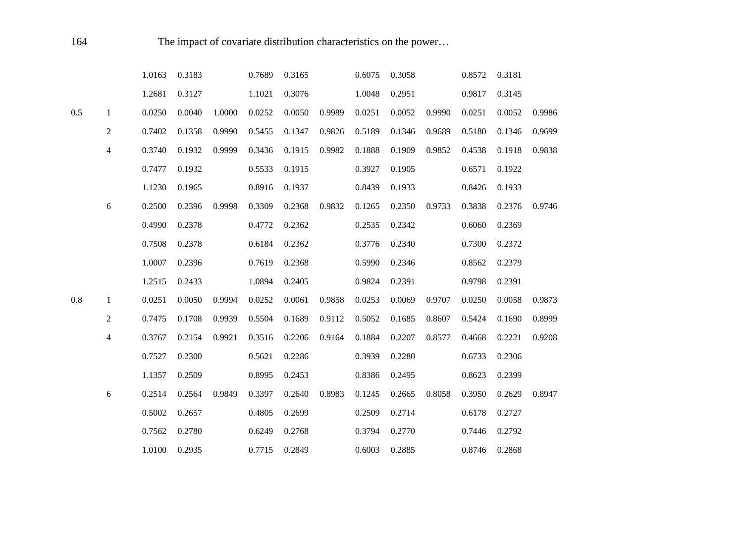|     |                | 1.0163 | 0.3183 |        | 0.7689 | 0.3165 |        | 0.6075 | 0.3058 |        | 0.8572 | 0.3181 |        |
|-----|----------------|--------|--------|--------|--------|--------|--------|--------|--------|--------|--------|--------|--------|
|     |                | 1.2681 | 0.3127 |        | 1.1021 | 0.3076 |        | 1.0048 | 0.2951 |        | 0.9817 | 0.3145 |        |
| 0.5 | $\mathbf{1}$   | 0.0250 | 0.0040 | 1.0000 | 0.0252 | 0.0050 | 0.9989 | 0.0251 | 0.0052 | 0.9990 | 0.0251 | 0.0052 | 0.9986 |
|     | $\overline{2}$ | 0.7402 | 0.1358 | 0.9990 | 0.5455 | 0.1347 | 0.9826 | 0.5189 | 0.1346 | 0.9689 | 0.5180 | 0.1346 | 0.9699 |
|     | 4              | 0.3740 | 0.1932 | 0.9999 | 0.3436 | 0.1915 | 0.9982 | 0.1888 | 0.1909 | 0.9852 | 0.4538 | 0.1918 | 0.9838 |
|     |                | 0.7477 | 0.1932 |        | 0.5533 | 0.1915 |        | 0.3927 | 0.1905 |        | 0.6571 | 0.1922 |        |
|     |                | 1.1230 | 0.1965 |        | 0.8916 | 0.1937 |        | 0.8439 | 0.1933 |        | 0.8426 | 0.1933 |        |
|     | 6              | 0.2500 | 0.2396 | 0.9998 | 0.3309 | 0.2368 | 0.9832 | 0.1265 | 0.2350 | 0.9733 | 0.3838 | 0.2376 | 0.9746 |
|     |                | 0.4990 | 0.2378 |        | 0.4772 | 0.2362 |        | 0.2535 | 0.2342 |        | 0.6060 | 0.2369 |        |
|     |                | 0.7508 | 0.2378 |        | 0.6184 | 0.2362 |        | 0.3776 | 0.2340 |        | 0.7300 | 0.2372 |        |
|     |                | 1.0007 | 0.2396 |        | 0.7619 | 0.2368 |        | 0.5990 | 0.2346 |        | 0.8562 | 0.2379 |        |
|     |                | 1.2515 | 0.2433 |        | 1.0894 | 0.2405 |        | 0.9824 | 0.2391 |        | 0.9798 | 0.2391 |        |
| 0.8 | $\mathbf{1}$   | 0.0251 | 0.0050 | 0.9994 | 0.0252 | 0.0061 | 0.9858 | 0.0253 | 0.0069 | 0.9707 | 0.0250 | 0.0058 | 0.9873 |
|     | 2              | 0.7475 | 0.1708 | 0.9939 | 0.5504 | 0.1689 | 0.9112 | 0.5052 | 0.1685 | 0.8607 | 0.5424 | 0.1690 | 0.8999 |
|     | 4              | 0.3767 | 0.2154 | 0.9921 | 0.3516 | 0.2206 | 0.9164 | 0.1884 | 0.2207 | 0.8577 | 0.4668 | 0.2221 | 0.9208 |
|     |                | 0.7527 | 0.2300 |        | 0.5621 | 0.2286 |        | 0.3939 | 0.2280 |        | 0.6733 | 0.2306 |        |
|     |                | 1.1357 | 0.2509 |        | 0.8995 | 0.2453 |        | 0.8386 | 0.2495 |        | 0.8623 | 0.2399 |        |
|     | $\sqrt{6}$     | 0.2514 | 0.2564 | 0.9849 | 0.3397 | 0.2640 | 0.8983 | 0.1245 | 0.2665 | 0.8058 | 0.3950 | 0.2629 | 0.8947 |
|     |                | 0.5002 | 0.2657 |        | 0.4805 | 0.2699 |        | 0.2509 | 0.2714 |        | 0.6178 | 0.2727 |        |
|     |                | 0.7562 | 0.2780 |        | 0.6249 | 0.2768 |        | 0.3794 | 0.2770 |        | 0.7446 | 0.2792 |        |
|     |                | 1.0100 | 0.2935 |        | 0.7715 | 0.2849 |        | 0.6003 | 0.2885 |        | 0.8746 | 0.2868 |        |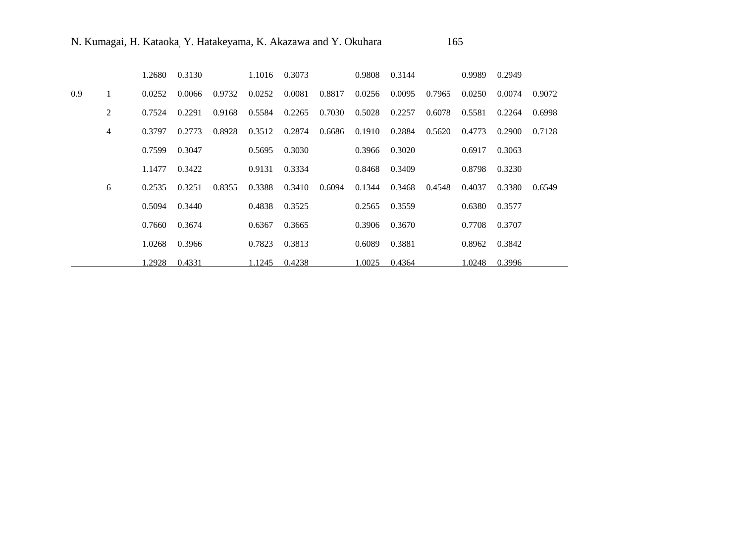|     |   | 1.2680 | 0.3130 |        |        | 1.1016 0.3073 |        | 0.9808        | 0.3144 |        | 0.9989 | 0.2949 |        |
|-----|---|--------|--------|--------|--------|---------------|--------|---------------|--------|--------|--------|--------|--------|
| 0.9 |   | 0.0252 | 0.0066 | 0.9732 | 0.0252 | 0.0081        | 0.8817 | 0.0256        | 0.0095 | 0.7965 | 0.0250 | 0.0074 | 0.9072 |
|     | 2 | 0.7524 | 0.2291 | 0.9168 | 0.5584 | 0.2265        | 0.7030 | 0.5028        | 0.2257 | 0.6078 | 0.5581 | 0.2264 | 0.6998 |
|     | 4 | 0.3797 | 0.2773 | 0.8928 | 0.3512 | 0.2874        | 0.6686 | 0.1910        | 0.2884 | 0.5620 | 0.4773 | 0.2900 | 0.7128 |
|     |   | 0.7599 | 0.3047 |        | 0.5695 | 0.3030        |        | 0.3966 0.3020 |        |        | 0.6917 | 0.3063 |        |
|     |   | 1.1477 | 0.3422 |        | 0.9131 | 0.3334        |        | 0.8468        | 0.3409 |        | 0.8798 | 0.3230 |        |
|     | 6 | 0.2535 | 0.3251 | 0.8355 | 0.3388 | 0.3410        | 0.6094 | 0.1344        | 0.3468 | 0.4548 | 0.4037 | 0.3380 | 0.6549 |
|     |   | 0.5094 | 0.3440 |        | 0.4838 | 0.3525        |        | 0.2565        | 0.3559 |        | 0.6380 | 0.3577 |        |
|     |   | 0.7660 | 0.3674 |        | 0.6367 | 0.3665        |        | 0.3906        | 0.3670 |        | 0.7708 | 0.3707 |        |
|     |   | 1.0268 | 0.3966 |        | 0.7823 | 0.3813        |        | 0.6089        | 0.3881 |        | 0.8962 | 0.3842 |        |
|     |   | 1.2928 | 0.4331 |        | 1.1245 | 0.4238        |        | 1.0025        | 0.4364 |        | 1.0248 | 0.3996 |        |